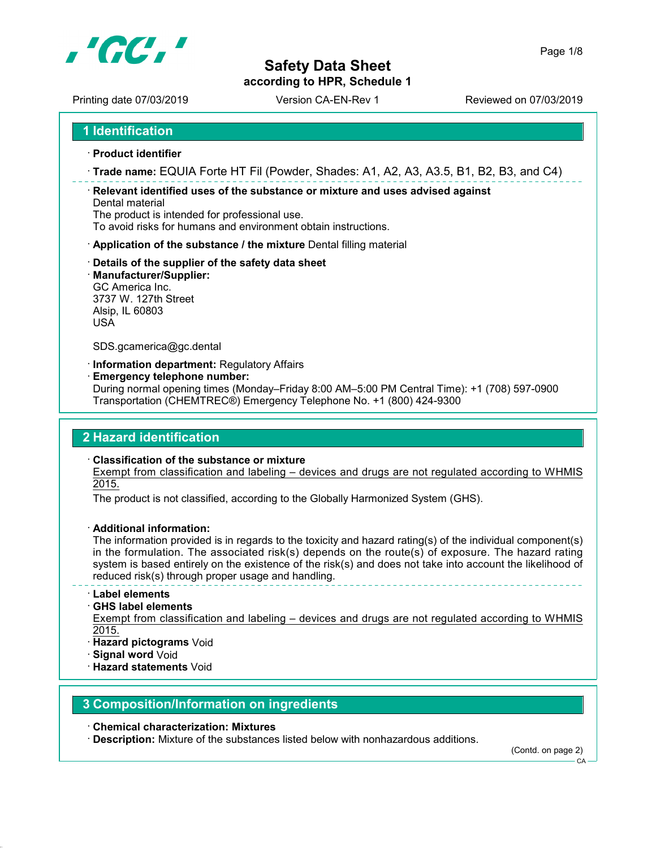

according to HPR, Schedule 1

Page 1/8

Printing date 07/03/2019 Version CA-EN-Rev 1 Printing date 07/03/2019

1 Identification

- · Product identifier
- · Trade name: EQUIA Forte HT Fil (Powder, Shades: A1, A2, A3, A3.5, B1, B2, B3, and C4)

· Relevant identified uses of the substance or mixture and uses advised against Dental material

The product is intended for professional use.

To avoid risks for humans and environment obtain instructions.

- · Application of the substance / the mixture Dental filling material
- · Details of the supplier of the safety data sheet
- · Manufacturer/Supplier:

GC America Inc. 3737 W. 127th Street Alsip, IL 60803 USA

SDS.gcamerica@gc.dental

· Information department: Regulatory Affairs

· Emergency telephone number:

During normal opening times (Monday–Friday 8:00 AM–5:00 PM Central Time): +1 (708) 597-0900 Transportation (CHEMTREC®) Emergency Telephone No. +1 (800) 424-9300

## 2 Hazard identification

· Classification of the substance or mixture

Exempt from classification and labeling – devices and drugs are not regulated according to WHMIS 2015.

The product is not classified, according to the Globally Harmonized System (GHS).

· Additional information:

The information provided is in regards to the toxicity and hazard rating(s) of the individual component(s) in the formulation. The associated risk(s) depends on the route(s) of exposure. The hazard rating system is based entirely on the existence of the risk(s) and does not take into account the likelihood of reduced risk(s) through proper usage and handling.

## · Label elements

## · GHS label elements

Exempt from classification and labeling – devices and drugs are not regulated according to WHMIS 2015.

- · Hazard pictograms Void
- · Signal word Void
- · Hazard statements Void

## 3 Composition/Information on ingredients

· Chemical characterization: Mixtures

· Description: Mixture of the substances listed below with nonhazardous additions.

(Contd. on page 2)

CA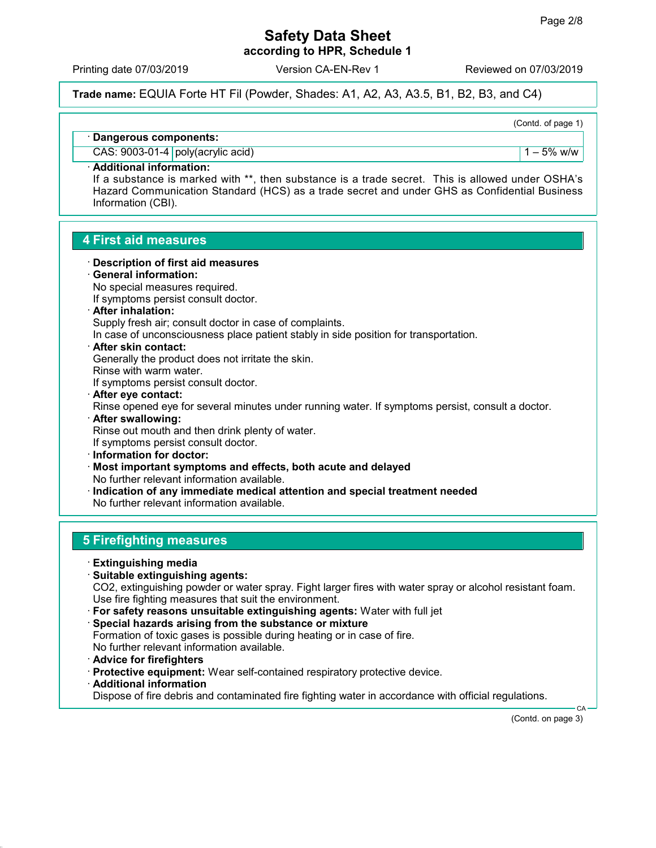according to HPR, Schedule 1

Printing date 07/03/2019 Version CA-EN-Rev 1 Reviewed on 07/03/2019

Trade name: EQUIA Forte HT Fil (Powder, Shades: A1, A2, A3, A3.5, B1, B2, B3, and C4)

(Contd. of page 1)

· Dangerous components:

 $\text{CAS: } 9003-01-4 \text{ poly(acrylic acid)}$ 

## · Additional information:

If a substance is marked with \*\*, then substance is a trade secret. This is allowed under OSHA's Hazard Communication Standard (HCS) as a trade secret and under GHS as Confidential Business Information (CBI).

## 4 First aid measures

- · Description of first aid measures
- · General information:
- No special measures required.
- If symptoms persist consult doctor.
- · After inhalation:
- Supply fresh air; consult doctor in case of complaints.

In case of unconsciousness place patient stably in side position for transportation.

· After skin contact:

Generally the product does not irritate the skin.

Rinse with warm water.

If symptoms persist consult doctor.

- · After eye contact: Rinse opened eye for several minutes under running water. If symptoms persist, consult a doctor. · After swallowing: Rinse out mouth and then drink plenty of water.
- If symptoms persist consult doctor.
- · Information for doctor:
- · Most important symptoms and effects, both acute and delayed No further relevant information available.
- · Indication of any immediate medical attention and special treatment needed No further relevant information available.

## 5 Firefighting measures

- · Extinguishing media
- · Suitable extinguishing agents:

CO2, extinguishing powder or water spray. Fight larger fires with water spray or alcohol resistant foam. Use fire fighting measures that suit the environment.

- · For safety reasons unsuitable extinguishing agents: Water with full jet
- · Special hazards arising from the substance or mixture Formation of toxic gases is possible during heating or in case of fire. No further relevant information available.
- · Advice for firefighters
- · Protective equipment: Wear self-contained respiratory protective device.
- · Additional information

Dispose of fire debris and contaminated fire fighting water in accordance with official regulations.

(Contd. on page 3)

CA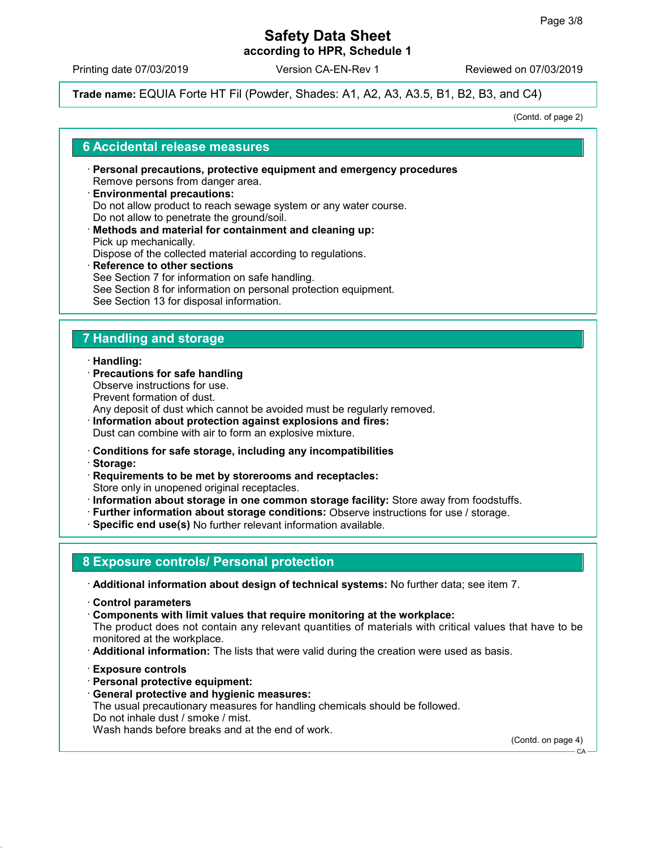according to HPR, Schedule 1

Printing date 07/03/2019 Version CA-EN-Rev 1 Reviewed on 07/03/2019

Trade name: EQUIA Forte HT Fil (Powder, Shades: A1, A2, A3, A3.5, B1, B2, B3, and C4)

(Contd. of page 2)

## 6 Accidental release measures

- · Personal precautions, protective equipment and emergency procedures Remove persons from danger area. · Environmental precautions:
- Do not allow product to reach sewage system or any water course. Do not allow to penetrate the ground/soil. · Methods and material for containment and cleaning up: Pick up mechanically.

Dispose of the collected material according to regulations.

· Reference to other sections See Section 7 for information on safe handling. See Section 8 for information on personal protection equipment. See Section 13 for disposal information.

## 7 Handling and storage

## · Handling:

- · Precautions for safe handling Observe instructions for use. Prevent formation of dust. Any deposit of dust which cannot be avoided must be regularly removed.
- · Information about protection against explosions and fires: Dust can combine with air to form an explosive mixture.
- · Conditions for safe storage, including any incompatibilities
- · Storage:
- · Requirements to be met by storerooms and receptacles: Store only in unopened original receptacles.
- · Information about storage in one common storage facility: Store away from foodstuffs.
- · Further information about storage conditions: Observe instructions for use / storage.
- · Specific end use(s) No further relevant information available.

## 8 Exposure controls/ Personal protection

- · Additional information about design of technical systems: No further data; see item 7.
- · Control parameters
- · Components with limit values that require monitoring at the workplace: The product does not contain any relevant quantities of materials with critical values that have to be
- monitored at the workplace.
- · Additional information: The lists that were valid during the creation were used as basis.
- · Exposure controls
- · Personal protective equipment:
- · General protective and hygienic measures:

The usual precautionary measures for handling chemicals should be followed. Do not inhale dust / smoke / mist.

Wash hands before breaks and at the end of work.

(Contd. on page 4)

CA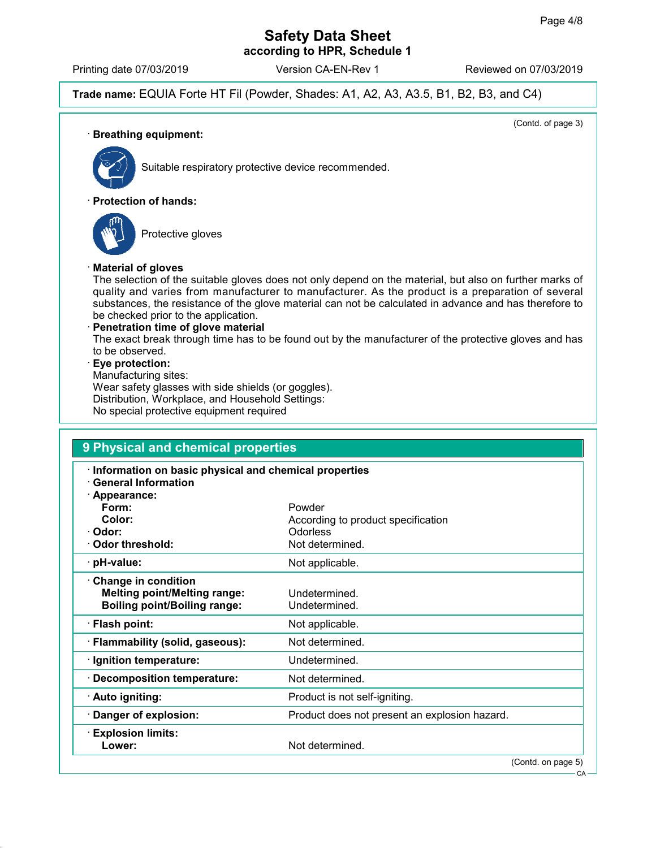## Safety Data Sheet according to HPR, Schedule 1

Printing date 07/03/2019 Version CA-EN-Rev 1 Reviewed on 07/03/2019

Trade name: EQUIA Forte HT Fil (Powder, Shades: A1, A2, A3, A3.5, B1, B2, B3, and C4)

(Contd. of page 3) · Breathing equipment: Suitable respiratory protective device recommended. · Protection of hands: Protective gloves · Material of gloves The selection of the suitable gloves does not only depend on the material, but also on further marks of quality and varies from manufacturer to manufacturer. As the product is a preparation of several substances, the resistance of the glove material can not be calculated in advance and has therefore to be checked prior to the application. · Penetration time of glove material The exact break through time has to be found out by the manufacturer of the protective gloves and has to be observed. · Eye protection: Manufacturing sites: Wear safety glasses with side shields (or goggles). Distribution, Workplace, and Household Settings: No special protective equipment required

| Information on basic physical and chemical properties<br><b>General Information</b> |                                               |
|-------------------------------------------------------------------------------------|-----------------------------------------------|
| · Appearance:                                                                       |                                               |
| Form:                                                                               | Powder                                        |
| Color:                                                                              | According to product specification            |
| · Odor:                                                                             | <b>Odorless</b>                               |
| Odor threshold:                                                                     | Not determined.                               |
| · pH-value:                                                                         | Not applicable.                               |
| Change in condition                                                                 |                                               |
| <b>Melting point/Melting range:</b>                                                 | Undetermined.                                 |
| <b>Boiling point/Boiling range:</b>                                                 | Undetermined.                                 |
| · Flash point:                                                                      | Not applicable.                               |
| · Flammability (solid, gaseous):                                                    | Not determined.                               |
| · Ignition temperature:                                                             | Undetermined.                                 |
| <b>Decomposition temperature:</b>                                                   | Not determined.                               |
| · Auto igniting:                                                                    | Product is not self-igniting.                 |
| Danger of explosion:                                                                | Product does not present an explosion hazard. |
| $\cdot$ Explosion limits:                                                           |                                               |
| Lower:                                                                              | Not determined.                               |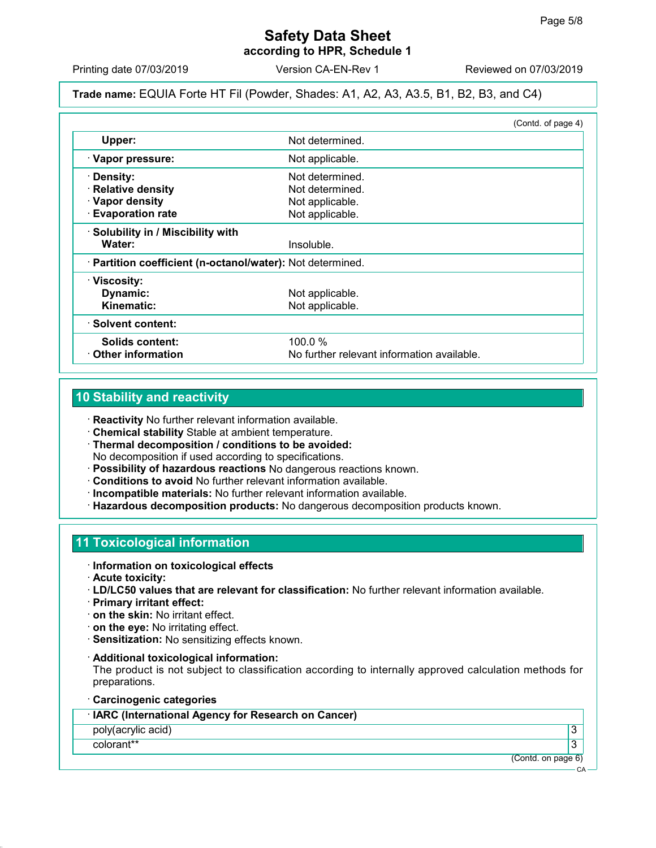## Safety Data Sheet according to HPR, Schedule 1

Printing date 07/03/2019 Version CA-EN-Rev 1 Reviewed on 07/03/2019

## Trade name: EQUIA Forte HT Fil (Powder, Shades: A1, A2, A3, A3.5, B1, B2, B3, and C4)

|                                                            |                                            | (Contd. of page 4) |
|------------------------------------------------------------|--------------------------------------------|--------------------|
| Upper:                                                     | Not determined.                            |                    |
| · Vapor pressure:                                          | Not applicable.                            |                    |
| · Density:                                                 | Not determined.                            |                    |
| · Relative density                                         | Not determined.                            |                    |
| · Vapor density                                            | Not applicable.                            |                    |
| · Evaporation rate                                         | Not applicable.                            |                    |
| · Solubility in / Miscibility with                         |                                            |                    |
| Water:                                                     | Insoluble.                                 |                    |
| · Partition coefficient (n-octanol/water): Not determined. |                                            |                    |
| · Viscosity:                                               |                                            |                    |
| Dynamic:                                                   | Not applicable.                            |                    |
| Kinematic:                                                 | Not applicable.                            |                    |
| · Solvent content:                                         |                                            |                    |
| <b>Solids content:</b>                                     | 100.0%                                     |                    |
| $\cdot$ Other information                                  | No further relevant information available. |                    |

## 10 Stability and reactivity

· Reactivity No further relevant information available.

- · Chemical stability Stable at ambient temperature.
- · Thermal decomposition / conditions to be avoided: No decomposition if used according to specifications.
- · Possibility of hazardous reactions No dangerous reactions known.
- · Conditions to avoid No further relevant information available.
- · Incompatible materials: No further relevant information available.
- · Hazardous decomposition products: No dangerous decomposition products known.

## 11 Toxicological information

- · Information on toxicological effects
- · Acute toxicity:
- · LD/LC50 values that are relevant for classification: No further relevant information available.
- · Primary irritant effect:
- · on the skin: No irritant effect.
- · on the eye: No irritating effect.
- · Sensitization: No sensitizing effects known.
- · Additional toxicological information:

The product is not subject to classification according to internally approved calculation methods for preparations.

· Carcinogenic categories

| <b>IARC (International Agency for Research on Cancer)</b> |  |  |  |
|-----------------------------------------------------------|--|--|--|
|-----------------------------------------------------------|--|--|--|

poly(acrylic acid) 3

colorant\*\* 3

(Contd. on page 6)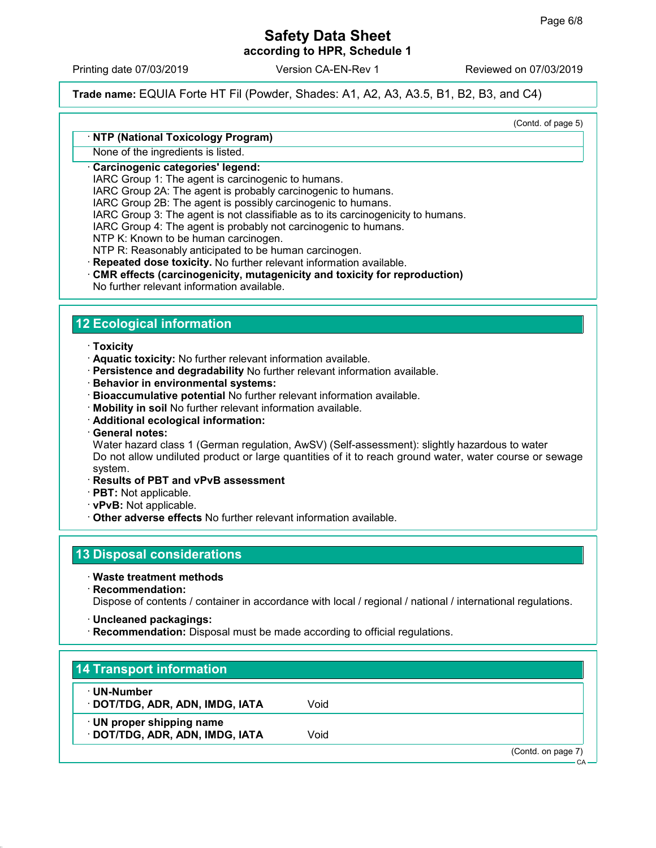according to HPR, Schedule 1

Printing date 07/03/2019 Version CA-EN-Rev 1 Reviewed on 07/03/2019

Trade name: EQUIA Forte HT Fil (Powder, Shades: A1, A2, A3, A3.5, B1, B2, B3, and C4)

(Contd. of page 5)

## · NTP (National Toxicology Program)

None of the ingredients is listed.

## · Carcinogenic categories' legend:

IARC Group 1: The agent is carcinogenic to humans.

IARC Group 2A: The agent is probably carcinogenic to humans.

IARC Group 2B: The agent is possibly carcinogenic to humans.

IARC Group 3: The agent is not classifiable as to its carcinogenicity to humans.

IARC Group 4: The agent is probably not carcinogenic to humans.

NTP K: Known to be human carcinogen.

NTP R: Reasonably anticipated to be human carcinogen.

· Repeated dose toxicity. No further relevant information available.

- CMR effects (carcinogenicity, mutagenicity and toxicity for reproduction)
- No further relevant information available.

## 12 Ecological information

- · Toxicity
- · Aquatic toxicity: No further relevant information available.
- · Persistence and degradability No further relevant information available.
- · Behavior in environmental systems:
- · Bioaccumulative potential No further relevant information available.
- · Mobility in soil No further relevant information available.
- · Additional ecological information:
- · General notes:

Water hazard class 1 (German regulation, AwSV) (Self-assessment): slightly hazardous to water Do not allow undiluted product or large quantities of it to reach ground water, water course or sewage system.

- · Results of PBT and vPvB assessment
- · PBT: Not applicable.
- · vPvB: Not applicable.
- · Other adverse effects No further relevant information available.

## 13 Disposal considerations

- · Waste treatment methods
- · Recommendation:

Dispose of contents / container in accordance with local / regional / national / international regulations.

- · Uncleaned packagings:
- · Recommendation: Disposal must be made according to official regulations.

## 14 Transport information

- · UN-Number
- · DOT/TDG, ADR, ADN, IMDG, IATA Void
- · UN proper shipping name
- · **DOT/TDG, ADR, ADN, IMDG, IATA** Void

(Contd. on page 7)

 $\cap$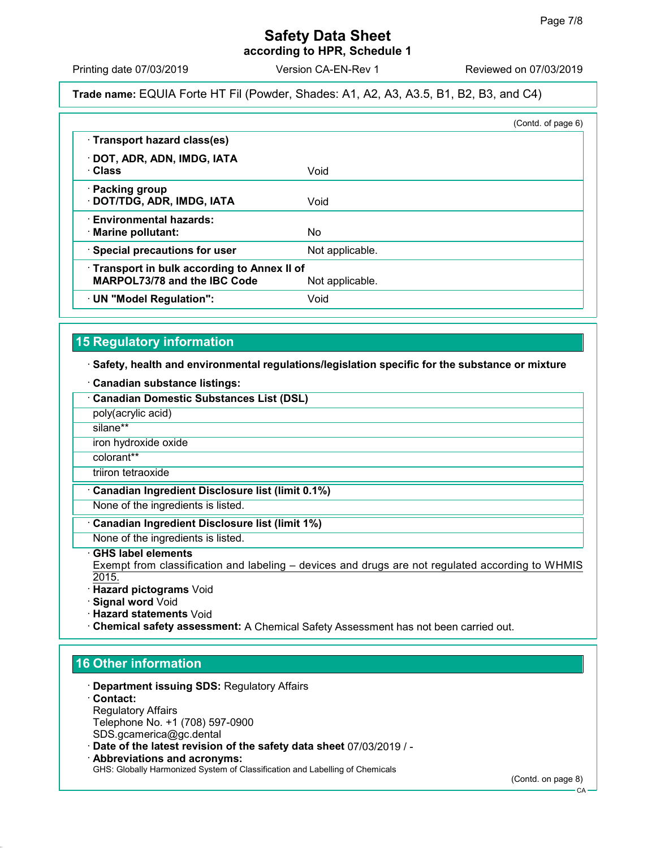according to HPR, Schedule 1

Printing date 07/03/2019 Version CA-EN-Rev 1 Reviewed on 07/03/2019

## Trade name: EQUIA Forte HT Fil (Powder, Shades: A1, A2, A3, A3.5, B1, B2, B3, and C4)

|                                                                            | (Contd. of page 6) |
|----------------------------------------------------------------------------|--------------------|
| · Transport hazard class(es)                                               |                    |
| · DOT, ADR, ADN, IMDG, IATA<br>∴Class                                      | Void               |
| · Packing group<br>· DOT/TDG, ADR, IMDG, IATA                              | Void               |
| <b>Environmental hazards:</b><br>· Marine pollutant:                       | No.                |
| · Special precautions for user                                             | Not applicable.    |
| Transport in bulk according to Annex II of<br>MARPOL73/78 and the IBC Code | Not applicable.    |
| · UN "Model Regulation":                                                   | Void               |

## 15 Regulatory information

## · Safety, health and environmental regulations/legislation specific for the substance or mixture

· Canadian substance listings:

| <b>Canadian Domestic Substances List (DSL)</b>                                                                                    |
|-----------------------------------------------------------------------------------------------------------------------------------|
| poly(acrylic acid)                                                                                                                |
| silane**                                                                                                                          |
| iron hydroxide oxide                                                                                                              |
| colorant**                                                                                                                        |
| triiron tetraoxide                                                                                                                |
| Canadian Ingredient Disclosure list (limit 0.1%)                                                                                  |
| None of the ingredients is listed.                                                                                                |
| Canadian Ingredient Disclosure list (limit 1%)                                                                                    |
| None of the ingredients is listed.                                                                                                |
| ⋅ GHS label elements<br>Exempt from classification and labeling – devices and drugs are not regulated according to WHMIS<br>2015. |

- · Hazard pictograms Void
- · Signal word Void
- · Hazard statements Void
- · Chemical safety assessment: A Chemical Safety Assessment has not been carried out.

## 16 Other information

- · Department issuing SDS: Regulatory Affairs
- · Contact: Regulatory Affairs Telephone No. +1 (708) 597-0900 SDS.gcamerica@gc.dental
- · Date of the latest revision of the safety data sheet 07/03/2019 / -
- · Abbreviations and acronyms: GHS: Globally Harmonized System of Classification and Labelling of Chemicals

(Contd. on page 8)

**CA**